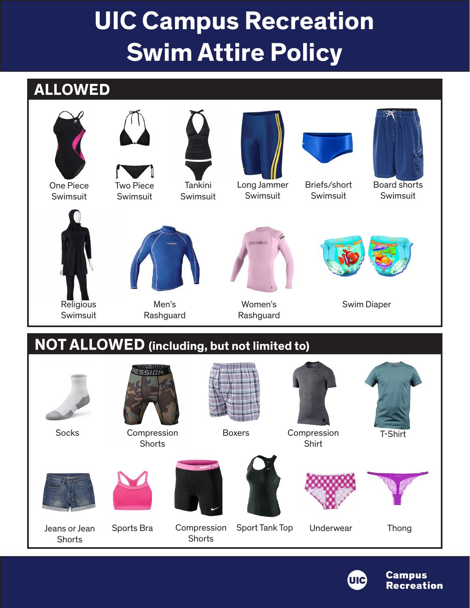## **UIC Campus Recreation Swim Attire Policy**

### **ALLOWED**



Swimsuit



Two Piece Swimsuit



Tankini Swimsuit



Long Jammer Swimsuit



Briefs/short Swimsuit



Board shorts Swimsuit



## **NOT ALLOWED (including, but not limited to)**





**Campus Recreation**